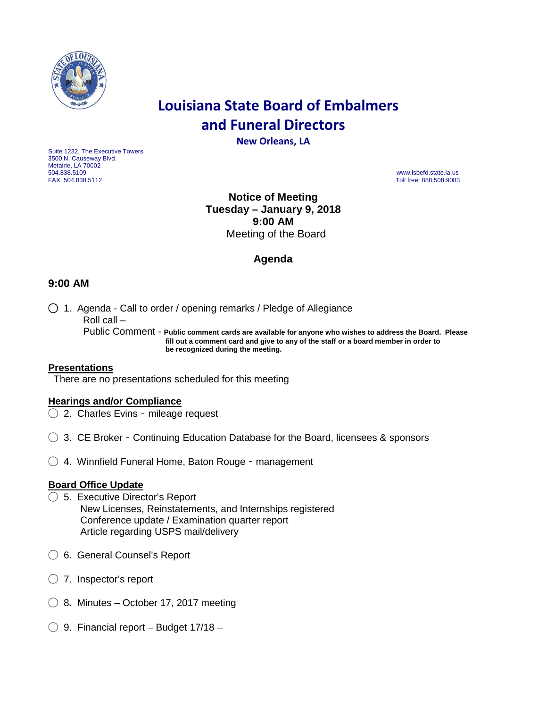

# **Louisiana State Board of Embalmers and Funeral Directors**

**New Orleans, LA**

Suite 1232, The Executive Towers 3500 N. Causeway Blvd. Metairie, LA 70002<br>504.838.5109 504.838.5109 www.lsbefd.state.la.us

Toll free: 888.508.9083

## **Notice of Meeting Tuesday – January 9, 2018 9:00 AM**  Meeting of the Board

## **Agenda**

### **9:00 AM**

◯ 1. Agenda - Call to order / opening remarks / Pledge of Allegiance Roll call –

 Public Comment - **Public comment cards are available for anyone who wishes to address the Board. Please fill out a comment card and give to any of the staff or a board member in order to be recognized during the meeting.**

#### **Presentations**

There are no presentations scheduled for this meeting

#### **Hearings and/or Compliance**

- ◯ 2. Charles Evins mileage request
- ◯ 3. CE Broker Continuing Education Database for the Board, licensees & sponsors
- ◯ 4. Winnfield Funeral Home, Baton Rouge management

#### **Board Office Update**

- ◯ 5. Executive Director's Report New Licenses, Reinstatements, and Internships registered Conference update / Examination quarter report Article regarding USPS mail/delivery
- ◯ 6. General Counsel's Report
- $\bigcirc$  7. Inspector's report
- ◯ 8**.** Minutes October 17, 2017 meeting
- $\bigcirc$  9. Financial report Budget 17/18 –